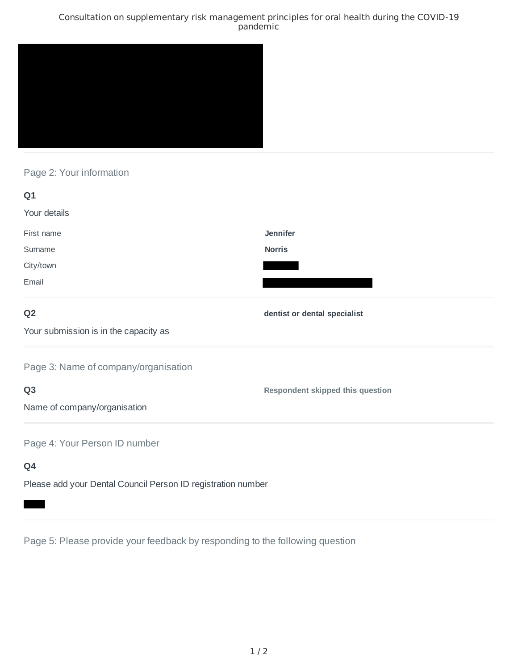### Consultation on supplementary risk management principles for oral health during the COVID-19 pandemic



# Page 2: Your information

| Q1                                                           |                                         |
|--------------------------------------------------------------|-----------------------------------------|
| Your details                                                 |                                         |
| First name                                                   | <b>Jennifer</b>                         |
| Surname                                                      | <b>Norris</b>                           |
| City/town                                                    |                                         |
| Email                                                        |                                         |
| Q <sub>2</sub>                                               | dentist or dental specialist            |
| Your submission is in the capacity as                        |                                         |
| Page 3: Name of company/organisation                         |                                         |
| Q <sub>3</sub>                                               | <b>Respondent skipped this question</b> |
| Name of company/organisation                                 |                                         |
| Page 4: Your Person ID number                                |                                         |
| Q4                                                           |                                         |
| Please add your Dental Council Person ID registration number |                                         |

Page 5: Please provide your feedback by responding to the following question